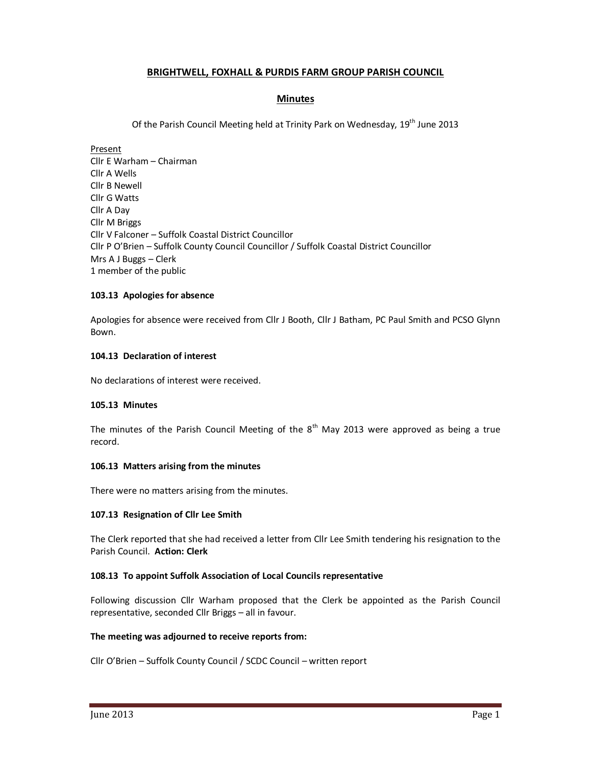## **BRIGHTWELL, FOXHALL & PURDIS FARM GROUP PARISH COUNCIL**

## **Minutes**

Of the Parish Council Meeting held at Trinity Park on Wednesday, 19<sup>th</sup> June 2013

Present Cllr E Warham – Chairman Cllr A Wells Cllr B Newell Cllr G Watts Cllr A Day Cllr M Briggs Cllr V Falconer – Suffolk Coastal District Councillor Cllr P O'Brien – Suffolk County Council Councillor / Suffolk Coastal District Councillor Mrs A J Buggs – Clerk 1 member of the public

## **103.13 Apologies for absence**

Apologies for absence were received from Cllr J Booth, Cllr J Batham, PC Paul Smith and PCSO Glynn Bown.

## **104.13 Declaration of interest**

No declarations of interest were received.

### **105.13 Minutes**

The minutes of the Parish Council Meeting of the  $8<sup>th</sup>$  May 2013 were approved as being a true record.

### **106.13 Matters arising from the minutes**

There were no matters arising from the minutes.

### **107.13 Resignation of Cllr Lee Smith**

The Clerk reported that she had received a letter from Cllr Lee Smith tendering his resignation to the Parish Council. **Action: Clerk** 

### **108.13 To appoint Suffolk Association of Local Councils representative**

Following discussion Cllr Warham proposed that the Clerk be appointed as the Parish Council representative, seconded Cllr Briggs – all in favour.

### **The meeting was adjourned to receive reports from:**

Cllr O'Brien – Suffolk County Council / SCDC Council – written report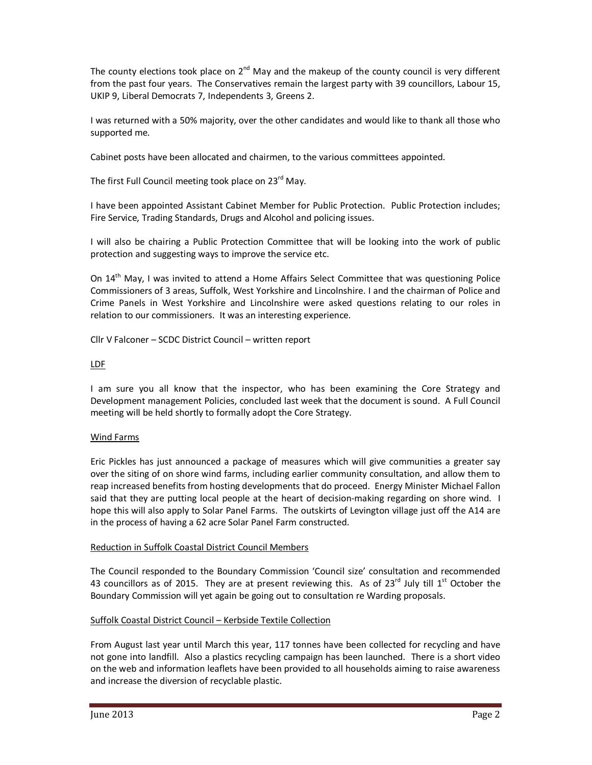The county elections took place on  $2^{nd}$  May and the makeup of the county council is very different from the past four years. The Conservatives remain the largest party with 39 councillors, Labour 15, UKIP 9, Liberal Democrats 7, Independents 3, Greens 2.

I was returned with a 50% majority, over the other candidates and would like to thank all those who supported me.

Cabinet posts have been allocated and chairmen, to the various committees appointed.

The first Full Council meeting took place on 23<sup>rd</sup> May.

I have been appointed Assistant Cabinet Member for Public Protection. Public Protection includes; Fire Service, Trading Standards, Drugs and Alcohol and policing issues.

I will also be chairing a Public Protection Committee that will be looking into the work of public protection and suggesting ways to improve the service etc.

On 14th May, I was invited to attend a Home Affairs Select Committee that was questioning Police Commissioners of 3 areas, Suffolk, West Yorkshire and Lincolnshire. I and the chairman of Police and Crime Panels in West Yorkshire and Lincolnshire were asked questions relating to our roles in relation to our commissioners. It was an interesting experience.

Cllr V Falconer – SCDC District Council – written report

## LDF

I am sure you all know that the inspector, who has been examining the Core Strategy and Development management Policies, concluded last week that the document is sound. A Full Council meeting will be held shortly to formally adopt the Core Strategy.

## Wind Farms

Eric Pickles has just announced a package of measures which will give communities a greater say over the siting of on shore wind farms, including earlier community consultation, and allow them to reap increased benefits from hosting developments that do proceed. Energy Minister Michael Fallon said that they are putting local people at the heart of decision-making regarding on shore wind. I hope this will also apply to Solar Panel Farms. The outskirts of Levington village just off the A14 are in the process of having a 62 acre Solar Panel Farm constructed.

## Reduction in Suffolk Coastal District Council Members

The Council responded to the Boundary Commission 'Council size' consultation and recommended 43 councillors as of 2015. They are at present reviewing this. As of 23<sup>rd</sup> July till 1<sup>st</sup> October the Boundary Commission will yet again be going out to consultation re Warding proposals.

# Suffolk Coastal District Council – Kerbside Textile Collection

From August last year until March this year, 117 tonnes have been collected for recycling and have not gone into landfill. Also a plastics recycling campaign has been launched. There is a short video on the web and information leaflets have been provided to all households aiming to raise awareness and increase the diversion of recyclable plastic.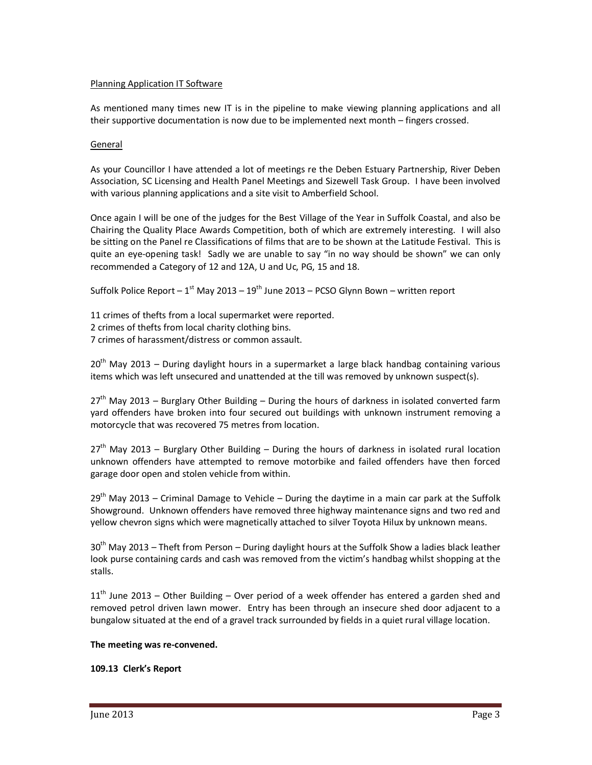### Planning Application IT Software

As mentioned many times new IT is in the pipeline to make viewing planning applications and all their supportive documentation is now due to be implemented next month – fingers crossed.

### General

As your Councillor I have attended a lot of meetings re the Deben Estuary Partnership, River Deben Association, SC Licensing and Health Panel Meetings and Sizewell Task Group. I have been involved with various planning applications and a site visit to Amberfield School.

Once again I will be one of the judges for the Best Village of the Year in Suffolk Coastal, and also be Chairing the Quality Place Awards Competition, both of which are extremely interesting. I will also be sitting on the Panel re Classifications of films that are to be shown at the Latitude Festival. This is quite an eye-opening task! Sadly we are unable to say "in no way should be shown" we can only recommended a Category of 12 and 12A, U and Uc, PG, 15 and 18.

Suffolk Police Report –  $1^{st}$  May 2013 –  $19^{th}$  June 2013 – PCSO Glynn Bown – written report

11 crimes of thefts from a local supermarket were reported. 2 crimes of thefts from local charity clothing bins. 7 crimes of harassment/distress or common assault.

 $20<sup>th</sup>$  May 2013 – During daylight hours in a supermarket a large black handbag containing various items which was left unsecured and unattended at the till was removed by unknown suspect(s).

 $27<sup>th</sup>$  May 2013 – Burglary Other Building – During the hours of darkness in isolated converted farm yard offenders have broken into four secured out buildings with unknown instrument removing a motorcycle that was recovered 75 metres from location.

 $27<sup>th</sup>$  May 2013 – Burglary Other Building – During the hours of darkness in isolated rural location unknown offenders have attempted to remove motorbike and failed offenders have then forced garage door open and stolen vehicle from within.

 $29<sup>th</sup>$  May 2013 – Criminal Damage to Vehicle – During the daytime in a main car park at the Suffolk Showground. Unknown offenders have removed three highway maintenance signs and two red and yellow chevron signs which were magnetically attached to silver Toyota Hilux by unknown means.

 $30<sup>th</sup>$  May 2013 – Theft from Person – During daylight hours at the Suffolk Show a ladies black leather look purse containing cards and cash was removed from the victim's handbag whilst shopping at the stalls.

 $11<sup>th</sup>$  June 2013 – Other Building – Over period of a week offender has entered a garden shed and removed petrol driven lawn mower. Entry has been through an insecure shed door adjacent to a bungalow situated at the end of a gravel track surrounded by fields in a quiet rural village location.

## **The meeting was re-convened.**

## **109.13 Clerk's Report**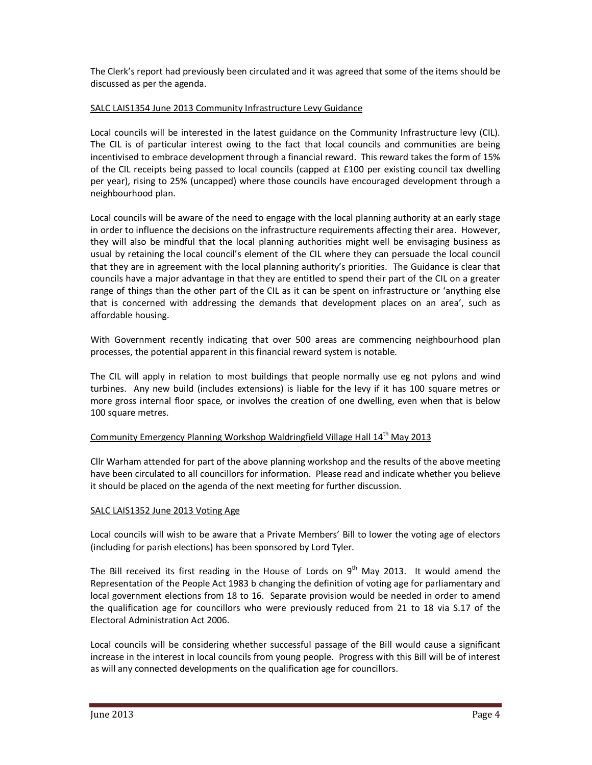The Clerk's report had previously been circulated and it was agreed that some of the items should be discussed as per the agenda.

## SALC LAIS1354 June 2013 Community Infrastructure Levy Guidance

Local councils will be interested in the latest guidance on the Community Infrastructure levy (CIL). The CIL is of particular interest owing to the fact that local councils and communities are being incentivised to embrace development through a financial reward. This reward takes the form of 15% of the CIL receipts being passed to local councils (capped at £100 per existing council tax dwelling per year), rising to 25% (uncapped) where those councils have encouraged development through a neighbourhood plan.

Local councils will be aware of the need to engage with the local planning authority at an early stage in order to influence the decisions on the infrastructure requirements affecting their area. However, they will also be mindful that the local planning authorities might well be envisaging business as usual by retaining the local council's element of the CIL where they can persuade the local council that they are in agreement with the local planning authority's priorities. The Guidance is clear that councils have a major advantage in that they are entitled to spend their part of the CIL on a greater range of things than the other part of the CIL as it can be spent on infrastructure or 'anything else that is concerned with addressing the demands that development places on an area', such as affordable housing.

With Government recently indicating that over 500 areas are commencing neighbourhood plan processes, the potential apparent in this financial reward system is notable.

The CIL will apply in relation to most buildings that people normally use eg not pylons and wind turbines. Any new build (includes extensions) is liable for the levy if it has 100 square metres or more gross internal floor space, or involves the creation of one dwelling, even when that is below 100 square metres.

## Community Emergency Planning Workshop Waldringfield Village Hall 14th May 2013

Cllr Warham attended for part of the above planning workshop and the results of the above meeting have been circulated to all councillors for information. Please read and indicate whether you believe it should be placed on the agenda of the next meeting for further discussion.

## SALC LAIS1352 June 2013 Voting Age

Local councils will wish to be aware that a Private Members' Bill to lower the voting age of electors (including for parish elections) has been sponsored by Lord Tyler.

The Bill received its first reading in the House of Lords on  $9<sup>th</sup>$  May 2013. It would amend the Representation of the People Act 1983 b changing the definition of voting age for parliamentary and local government elections from 18 to 16. Separate provision would be needed in order to amend the qualification age for councillors who were previously reduced from 21 to 18 via S.17 of the Electoral Administration Act 2006.

Local councils will be considering whether successful passage of the Bill would cause a significant increase in the interest in local councils from young people. Progress with this Bill will be of interest as will any connected developments on the qualification age for councillors.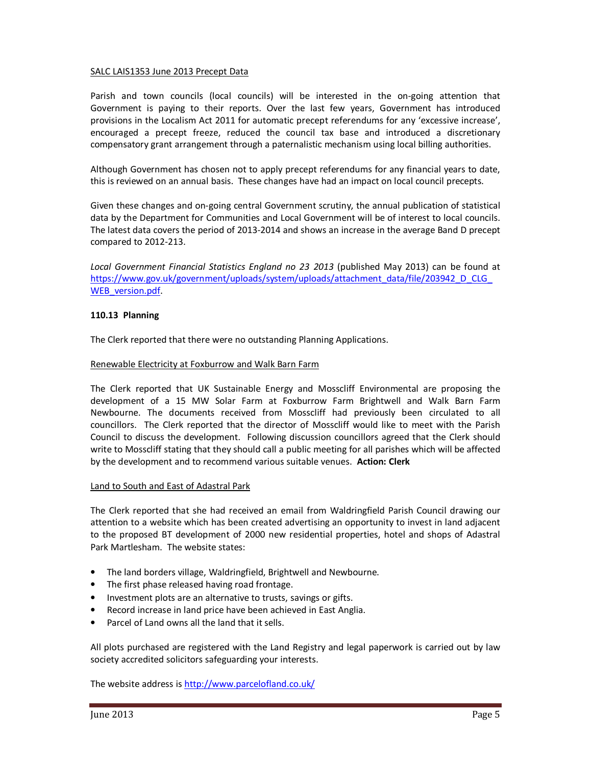### SALC LAIS1353 June 2013 Precept Data

Parish and town councils (local councils) will be interested in the on-going attention that Government is paying to their reports. Over the last few years, Government has introduced provisions in the Localism Act 2011 for automatic precept referendums for any 'excessive increase', encouraged a precept freeze, reduced the council tax base and introduced a discretionary compensatory grant arrangement through a paternalistic mechanism using local billing authorities.

Although Government has chosen not to apply precept referendums for any financial years to date, this is reviewed on an annual basis. These changes have had an impact on local council precepts.

Given these changes and on-going central Government scrutiny, the annual publication of statistical data by the Department for Communities and Local Government will be of interest to local councils. The latest data covers the period of 2013-2014 and shows an increase in the average Band D precept compared to 2012-213.

Local Government Financial Statistics England no 23 2013 (published May 2013) can be found at https://www.gov.uk/government/uploads/system/uploads/attachment\_data/file/203942\_D\_CLG WEB\_version.pdf

### **110.13 Planning**

The Clerk reported that there were no outstanding Planning Applications.

### Renewable Electricity at Foxburrow and Walk Barn Farm

The Clerk reported that UK Sustainable Energy and Mosscliff Environmental are proposing the development of a 15 MW Solar Farm at Foxburrow Farm Brightwell and Walk Barn Farm Newbourne. The documents received from Mosscliff had previously been circulated to all councillors. The Clerk reported that the director of Mosscliff would like to meet with the Parish Council to discuss the development. Following discussion councillors agreed that the Clerk should write to Mosscliff stating that they should call a public meeting for all parishes which will be affected by the development and to recommend various suitable venues. **Action: Clerk** 

### Land to South and East of Adastral Park

The Clerk reported that she had received an email from Waldringfield Parish Council drawing our attention to a website which has been created advertising an opportunity to invest in land adjacent to the proposed BT development of 2000 new residential properties, hotel and shops of Adastral Park Martlesham. The website states:

- The land borders village, Waldringfield, Brightwell and Newbourne.
- The first phase released having road frontage.
- Investment plots are an alternative to trusts, savings or gifts.
- Record increase in land price have been achieved in East Anglia.
- Parcel of Land owns all the land that it sells.

All plots purchased are registered with the Land Registry and legal paperwork is carried out by law society accredited solicitors safeguarding your interests.

The website address is http://www.parcelofland.co.uk/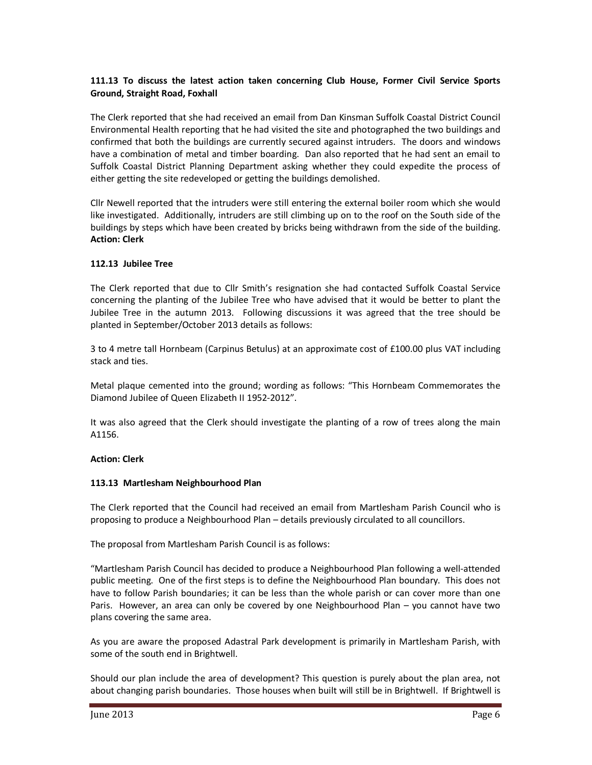## **111.13 To discuss the latest action taken concerning Club House, Former Civil Service Sports Ground, Straight Road, Foxhall**

The Clerk reported that she had received an email from Dan Kinsman Suffolk Coastal District Council Environmental Health reporting that he had visited the site and photographed the two buildings and confirmed that both the buildings are currently secured against intruders. The doors and windows have a combination of metal and timber boarding. Dan also reported that he had sent an email to Suffolk Coastal District Planning Department asking whether they could expedite the process of either getting the site redeveloped or getting the buildings demolished.

Cllr Newell reported that the intruders were still entering the external boiler room which she would like investigated. Additionally, intruders are still climbing up on to the roof on the South side of the buildings by steps which have been created by bricks being withdrawn from the side of the building. **Action: Clerk** 

## **112.13 Jubilee Tree**

The Clerk reported that due to Cllr Smith's resignation she had contacted Suffolk Coastal Service concerning the planting of the Jubilee Tree who have advised that it would be better to plant the Jubilee Tree in the autumn 2013. Following discussions it was agreed that the tree should be planted in September/October 2013 details as follows:

3 to 4 metre tall Hornbeam (Carpinus Betulus) at an approximate cost of £100.00 plus VAT including stack and ties.

Metal plaque cemented into the ground; wording as follows: "This Hornbeam Commemorates the Diamond Jubilee of Queen Elizabeth II 1952-2012".

It was also agreed that the Clerk should investigate the planting of a row of trees along the main A1156.

### **Action: Clerk**

### **113.13 Martlesham Neighbourhood Plan**

The Clerk reported that the Council had received an email from Martlesham Parish Council who is proposing to produce a Neighbourhood Plan – details previously circulated to all councillors.

The proposal from Martlesham Parish Council is as follows:

"Martlesham Parish Council has decided to produce a Neighbourhood Plan following a well-attended public meeting. One of the first steps is to define the Neighbourhood Plan boundary. This does not have to follow Parish boundaries; it can be less than the whole parish or can cover more than one Paris. However, an area can only be covered by one Neighbourhood Plan – you cannot have two plans covering the same area.

As you are aware the proposed Adastral Park development is primarily in Martlesham Parish, with some of the south end in Brightwell.

Should our plan include the area of development? This question is purely about the plan area, not about changing parish boundaries. Those houses when built will still be in Brightwell. If Brightwell is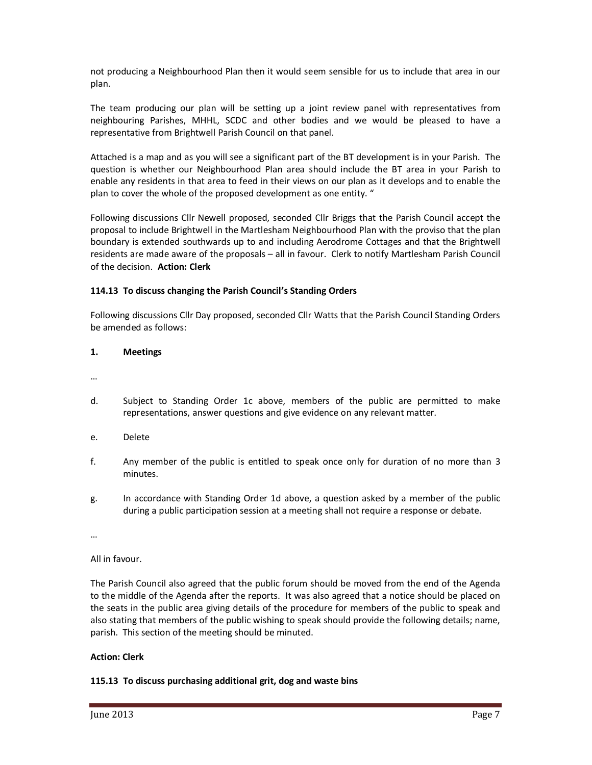not producing a Neighbourhood Plan then it would seem sensible for us to include that area in our plan.

The team producing our plan will be setting up a joint review panel with representatives from neighbouring Parishes, MHHL, SCDC and other bodies and we would be pleased to have a representative from Brightwell Parish Council on that panel.

Attached is a map and as you will see a significant part of the BT development is in your Parish. The question is whether our Neighbourhood Plan area should include the BT area in your Parish to enable any residents in that area to feed in their views on our plan as it develops and to enable the plan to cover the whole of the proposed development as one entity. "

Following discussions Cllr Newell proposed, seconded Cllr Briggs that the Parish Council accept the proposal to include Brightwell in the Martlesham Neighbourhood Plan with the proviso that the plan boundary is extended southwards up to and including Aerodrome Cottages and that the Brightwell residents are made aware of the proposals – all in favour. Clerk to notify Martlesham Parish Council of the decision. **Action: Clerk**

### **114.13 To discuss changing the Parish Council's Standing Orders**

Following discussions Cllr Day proposed, seconded Cllr Watts that the Parish Council Standing Orders be amended as follows:

**1. Meetings** 

…

- d. Subject to Standing Order 1c above, members of the public are permitted to make representations, answer questions and give evidence on any relevant matter.
- e. Delete
- f. Any member of the public is entitled to speak once only for duration of no more than 3 minutes.
- g. In accordance with Standing Order 1d above, a question asked by a member of the public during a public participation session at a meeting shall not require a response or debate.

…

All in favour.

The Parish Council also agreed that the public forum should be moved from the end of the Agenda to the middle of the Agenda after the reports. It was also agreed that a notice should be placed on the seats in the public area giving details of the procedure for members of the public to speak and also stating that members of the public wishing to speak should provide the following details; name, parish. This section of the meeting should be minuted.

### **Action: Clerk**

### **115.13 To discuss purchasing additional grit, dog and waste bins**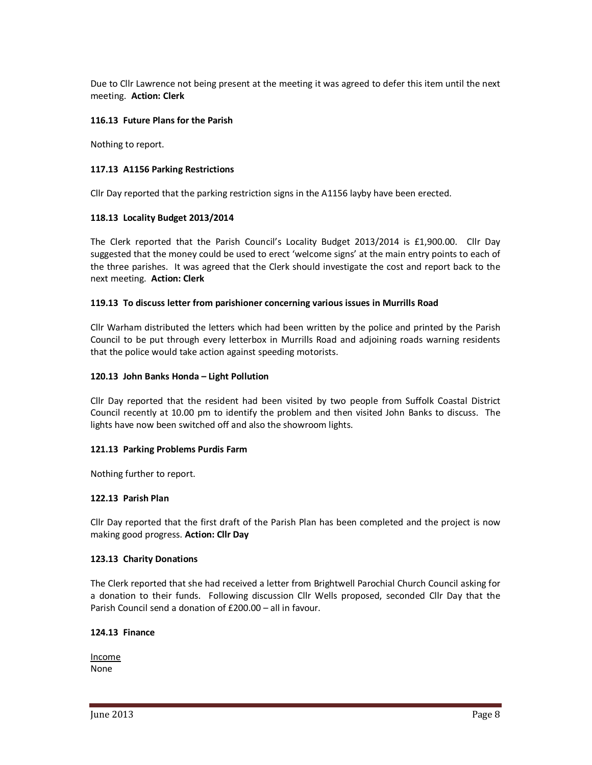Due to Cllr Lawrence not being present at the meeting it was agreed to defer this item until the next meeting. **Action: Clerk** 

### **116.13 Future Plans for the Parish**

Nothing to report.

### **117.13 A1156 Parking Restrictions**

Cllr Day reported that the parking restriction signs in the A1156 layby have been erected.

### **118.13 Locality Budget 2013/2014**

The Clerk reported that the Parish Council's Locality Budget 2013/2014 is £1,900.00. Cllr Day suggested that the money could be used to erect 'welcome signs' at the main entry points to each of the three parishes. It was agreed that the Clerk should investigate the cost and report back to the next meeting. **Action: Clerk** 

### **119.13 To discuss letter from parishioner concerning various issues in Murrills Road**

Cllr Warham distributed the letters which had been written by the police and printed by the Parish Council to be put through every letterbox in Murrills Road and adjoining roads warning residents that the police would take action against speeding motorists.

### **120.13 John Banks Honda – Light Pollution**

Cllr Day reported that the resident had been visited by two people from Suffolk Coastal District Council recently at 10.00 pm to identify the problem and then visited John Banks to discuss. The lights have now been switched off and also the showroom lights.

### **121.13 Parking Problems Purdis Farm**

Nothing further to report.

### **122.13 Parish Plan**

Cllr Day reported that the first draft of the Parish Plan has been completed and the project is now making good progress. **Action: Cllr Day** 

### **123.13 Charity Donations**

The Clerk reported that she had received a letter from Brightwell Parochial Church Council asking for a donation to their funds. Following discussion Cllr Wells proposed, seconded Cllr Day that the Parish Council send a donation of £200.00 – all in favour.

### **124.13 Finance**

Income None